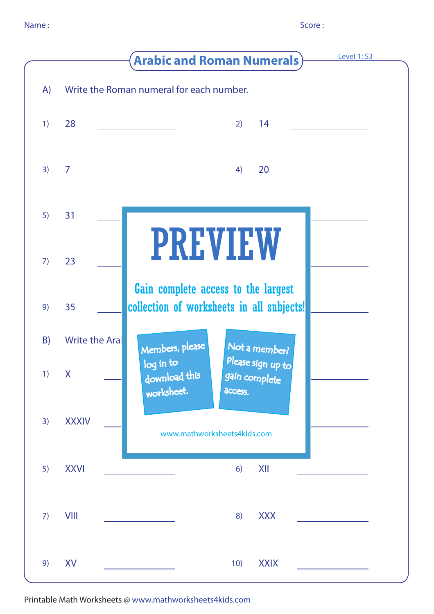|    |                       | Level 1: S3<br><b>Arabic and Roman Numerals)</b>                                          |
|----|-----------------------|-------------------------------------------------------------------------------------------|
| A) |                       | Write the Roman numeral for each number.                                                  |
| 1) | 28                    | 14<br>2)                                                                                  |
| 3) | $\overline{7}$        | 20<br>4)                                                                                  |
| 5) | 31                    |                                                                                           |
| 7) | 23                    | <b>PREVIEW</b>                                                                            |
| 9) | 35                    | Gain complete access to the largest<br>collection of worksheets in all subjects!          |
| B) | <b>Write the Aral</b> | Members, please<br>Not a member?                                                          |
| 1) | $\mathsf{X}$          | Please sign up to<br>log in to<br>download this<br>gain complete<br>worksheet.<br>access. |
| 3) | <b>XXXIV</b>          | www.mathworksheets4kids.com                                                               |
| 5) | <b>XXVI</b>           | XII<br>6)                                                                                 |
| 7) | <b>VIII</b>           | <b>XXX</b><br>8)                                                                          |
| 9) | XV                    | <b>XXIX</b><br>10)                                                                        |

Printable Math Worksheets @ www.mathworksheets4kids.com